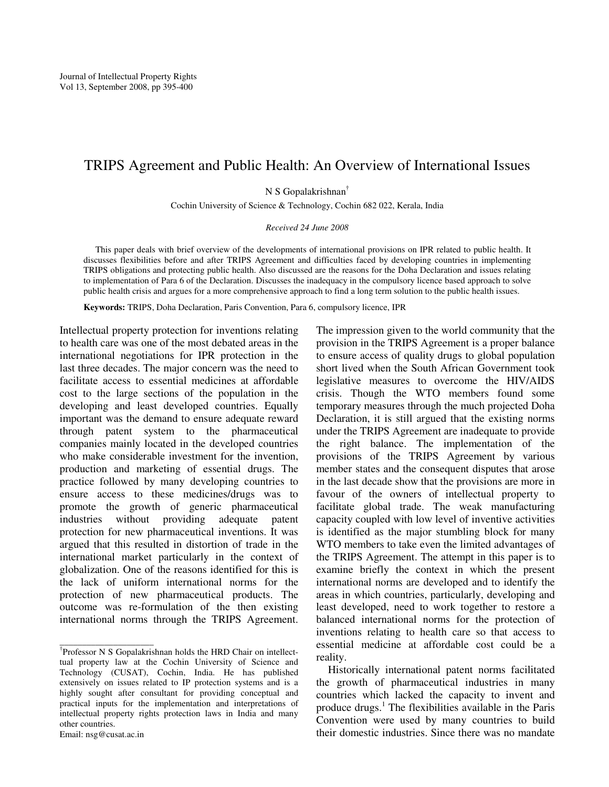## TRIPS Agreement and Public Health: An Overview of International Issues

N S Gopalakrishnan†

Cochin University of Science & Technology, Cochin 682 022, Kerala, India

*Received 24 June 2008* 

This paper deals with brief overview of the developments of international provisions on IPR related to public health. It discusses flexibilities before and after TRIPS Agreement and difficulties faced by developing countries in implementing TRIPS obligations and protecting public health. Also discussed are the reasons for the Doha Declaration and issues relating to implementation of Para 6 of the Declaration. Discusses the inadequacy in the compulsory licence based approach to solve public health crisis and argues for a more comprehensive approach to find a long term solution to the public health issues.

**Keywords:** TRIPS, Doha Declaration, Paris Convention, Para 6, compulsory licence, IPR

Intellectual property protection for inventions relating to health care was one of the most debated areas in the international negotiations for IPR protection in the last three decades. The major concern was the need to facilitate access to essential medicines at affordable cost to the large sections of the population in the developing and least developed countries. Equally important was the demand to ensure adequate reward through patent system to the pharmaceutical companies mainly located in the developed countries who make considerable investment for the invention, production and marketing of essential drugs. The practice followed by many developing countries to ensure access to these medicines/drugs was to promote the growth of generic pharmaceutical industries without providing adequate patent protection for new pharmaceutical inventions. It was argued that this resulted in distortion of trade in the international market particularly in the context of globalization. One of the reasons identified for this is the lack of uniform international norms for the protection of new pharmaceutical products. The outcome was re-formulation of the then existing international norms through the TRIPS Agreement.

\_\_\_\_\_\_\_\_\_\_\_\_\_\_\_\_\_\_\_\_\_

The impression given to the world community that the provision in the TRIPS Agreement is a proper balance to ensure access of quality drugs to global population short lived when the South African Government took legislative measures to overcome the HIV/AIDS crisis. Though the WTO members found some temporary measures through the much projected Doha Declaration, it is still argued that the existing norms under the TRIPS Agreement are inadequate to provide the right balance. The implementation of the provisions of the TRIPS Agreement by various member states and the consequent disputes that arose in the last decade show that the provisions are more in favour of the owners of intellectual property to facilitate global trade. The weak manufacturing capacity coupled with low level of inventive activities is identified as the major stumbling block for many WTO members to take even the limited advantages of the TRIPS Agreement. The attempt in this paper is to examine briefly the context in which the present international norms are developed and to identify the areas in which countries, particularly, developing and least developed, need to work together to restore a balanced international norms for the protection of inventions relating to health care so that access to essential medicine at affordable cost could be a reality.

 Historically international patent norms facilitated the growth of pharmaceutical industries in many countries which lacked the capacity to invent and produce drugs.<sup>1</sup> The flexibilities available in the Paris Convention were used by many countries to build their domestic industries. Since there was no mandate

<sup>†</sup> Professor N S Gopalakrishnan holds the HRD Chair on intellecttual property law at the Cochin University of Science and Technology (CUSAT), Cochin, India. He has published extensively on issues related to IP protection systems and is a highly sought after consultant for providing conceptual and practical inputs for the implementation and interpretations of intellectual property rights protection laws in India and many other countries.

Email: nsg@cusat.ac.in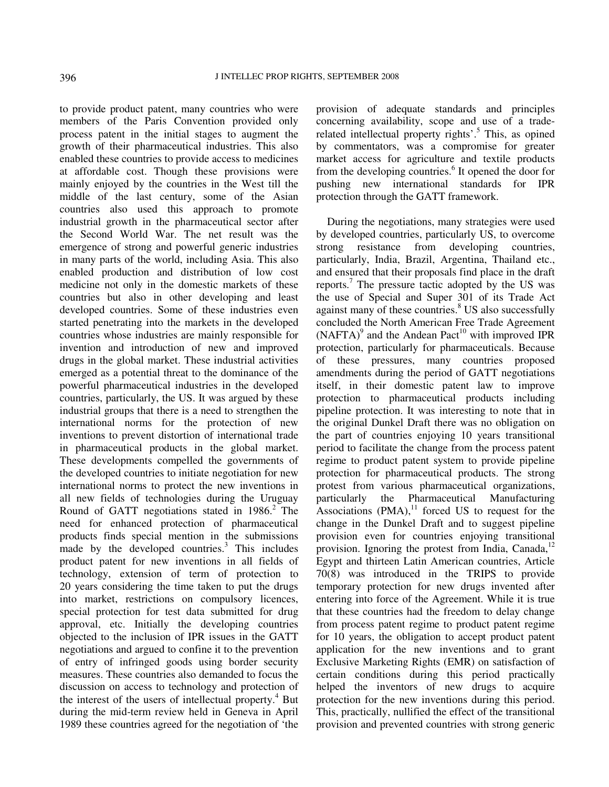to provide product patent, many countries who were members of the Paris Convention provided only process patent in the initial stages to augment the growth of their pharmaceutical industries. This also enabled these countries to provide access to medicines at affordable cost. Though these provisions were mainly enjoyed by the countries in the West till the middle of the last century, some of the Asian countries also used this approach to promote industrial growth in the pharmaceutical sector after the Second World War. The net result was the emergence of strong and powerful generic industries in many parts of the world, including Asia. This also enabled production and distribution of low cost medicine not only in the domestic markets of these countries but also in other developing and least developed countries. Some of these industries even started penetrating into the markets in the developed countries whose industries are mainly responsible for invention and introduction of new and improved drugs in the global market. These industrial activities emerged as a potential threat to the dominance of the powerful pharmaceutical industries in the developed countries, particularly, the US. It was argued by these industrial groups that there is a need to strengthen the international norms for the protection of new inventions to prevent distortion of international trade in pharmaceutical products in the global market. These developments compelled the governments of the developed countries to initiate negotiation for new international norms to protect the new inventions in all new fields of technologies during the Uruguay Round of GATT negotiations stated in  $1986$ <sup>2</sup>. The need for enhanced protection of pharmaceutical products finds special mention in the submissions made by the developed countries. $3$  This includes product patent for new inventions in all fields of technology, extension of term of protection to 20 years considering the time taken to put the drugs into market, restrictions on compulsory licences, special protection for test data submitted for drug approval, etc. Initially the developing countries objected to the inclusion of IPR issues in the GATT negotiations and argued to confine it to the prevention of entry of infringed goods using border security measures. These countries also demanded to focus the discussion on access to technology and protection of the interest of the users of intellectual property.<sup>4</sup> But during the mid-term review held in Geneva in April 1989 these countries agreed for the negotiation of 'the

provision of adequate standards and principles concerning availability, scope and use of a traderelated intellectual property rights'.<sup>5</sup> This, as opined by commentators, was a compromise for greater market access for agriculture and textile products from the developing countries.<sup>6</sup> It opened the door for pushing new international standards for IPR protection through the GATT framework.

 During the negotiations, many strategies were used by developed countries, particularly US, to overcome strong resistance from developing countries, particularly, India, Brazil, Argentina, Thailand etc., and ensured that their proposals find place in the draft reports.<sup>7</sup> The pressure tactic adopted by the US was the use of Special and Super 301 of its Trade Act against many of these countries.<sup>8</sup> US also successfully concluded the North American Free Trade Agreement  $(NAFTA)^9$  and the Andean Pact<sup>10</sup> with improved IPR protection, particularly for pharmaceuticals. Because of these pressures, many countries proposed amendments during the period of GATT negotiations itself, in their domestic patent law to improve protection to pharmaceutical products including pipeline protection. It was interesting to note that in the original Dunkel Draft there was no obligation on the part of countries enjoying 10 years transitional period to facilitate the change from the process patent regime to product patent system to provide pipeline protection for pharmaceutical products. The strong protest from various pharmaceutical organizations, particularly the Pharmaceutical Manufacturing Associations  $(PMA)$ ,<sup>11</sup> forced US to request for the change in the Dunkel Draft and to suggest pipeline provision even for countries enjoying transitional provision. Ignoring the protest from India, Canada, $^{12}$ Egypt and thirteen Latin American countries, Article 70(8) was introduced in the TRIPS to provide temporary protection for new drugs invented after entering into force of the Agreement. While it is true that these countries had the freedom to delay change from process patent regime to product patent regime for 10 years, the obligation to accept product patent application for the new inventions and to grant Exclusive Marketing Rights (EMR) on satisfaction of certain conditions during this period practically helped the inventors of new drugs to acquire protection for the new inventions during this period. This, practically, nullified the effect of the transitional provision and prevented countries with strong generic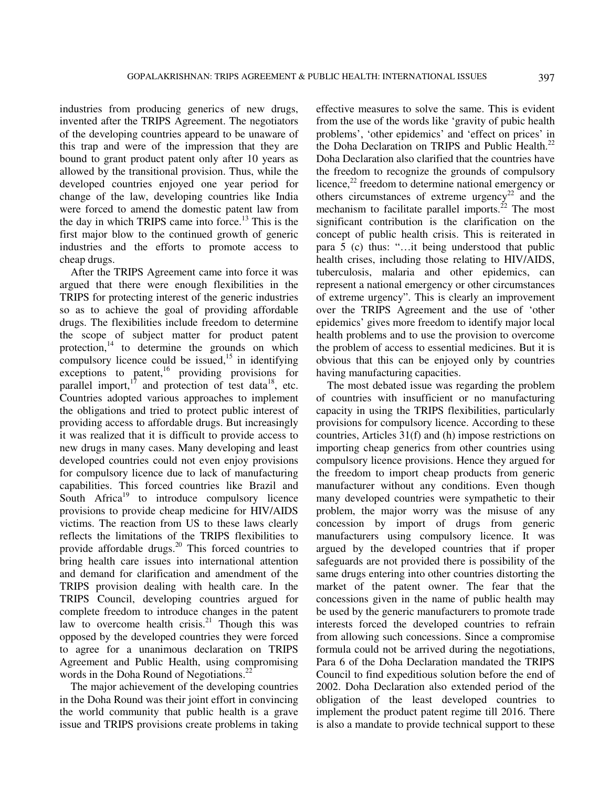industries from producing generics of new drugs, invented after the TRIPS Agreement. The negotiators of the developing countries appeard to be unaware of this trap and were of the impression that they are bound to grant product patent only after 10 years as allowed by the transitional provision. Thus, while the developed countries enjoyed one year period for change of the law, developing countries like India were forced to amend the domestic patent law from the day in which TRIPS came into force.<sup>13</sup> This is the first major blow to the continued growth of generic industries and the efforts to promote access to cheap drugs.

 After the TRIPS Agreement came into force it was argued that there were enough flexibilities in the TRIPS for protecting interest of the generic industries so as to achieve the goal of providing affordable drugs. The flexibilities include freedom to determine the scope of subject matter for product patent protection, $14$  to determine the grounds on which compulsory licence could be issued,<sup>15</sup> in identifying exceptions to patent,<sup>16</sup> providing provisions for parallel import, $17$  and protection of test data<sup>18</sup>, etc. Countries adopted various approaches to implement the obligations and tried to protect public interest of providing access to affordable drugs. But increasingly it was realized that it is difficult to provide access to new drugs in many cases. Many developing and least developed countries could not even enjoy provisions for compulsory licence due to lack of manufacturing capabilities. This forced countries like Brazil and South Africa<sup>19</sup> to introduce compulsory licence provisions to provide cheap medicine for HIV/AIDS victims. The reaction from US to these laws clearly reflects the limitations of the TRIPS flexibilities to provide affordable drugs. $^{20}$  This forced countries to bring health care issues into international attention and demand for clarification and amendment of the TRIPS provision dealing with health care. In the TRIPS Council, developing countries argued for complete freedom to introduce changes in the patent law to overcome health crisis.<sup>21</sup> Though this was opposed by the developed countries they were forced to agree for a unanimous declaration on TRIPS Agreement and Public Health, using compromising words in the Doha Round of Negotiations.<sup>22</sup>

 The major achievement of the developing countries in the Doha Round was their joint effort in convincing the world community that public health is a grave issue and TRIPS provisions create problems in taking effective measures to solve the same. This is evident from the use of the words like 'gravity of pubic health problems', 'other epidemics' and 'effect on prices' in the Doha Declaration on TRIPS and Public Health. $^{22}$ Doha Declaration also clarified that the countries have the freedom to recognize the grounds of compulsory licence,<sup>22</sup> freedom to determine national emergency or others circumstances of extreme urgency<sup>22</sup> and the mechanism to facilitate parallel imports. $^{22}$  The most significant contribution is the clarification on the concept of public health crisis. This is reiterated in para 5 (c) thus: "…it being understood that public health crises, including those relating to HIV/AIDS, tuberculosis, malaria and other epidemics, can represent a national emergency or other circumstances of extreme urgency". This is clearly an improvement over the TRIPS Agreement and the use of 'other epidemics' gives more freedom to identify major local health problems and to use the provision to overcome the problem of access to essential medicines. But it is obvious that this can be enjoyed only by countries having manufacturing capacities.

 The most debated issue was regarding the problem of countries with insufficient or no manufacturing capacity in using the TRIPS flexibilities, particularly provisions for compulsory licence. According to these countries, Articles 31(f) and (h) impose restrictions on importing cheap generics from other countries using compulsory licence provisions. Hence they argued for the freedom to import cheap products from generic manufacturer without any conditions. Even though many developed countries were sympathetic to their problem, the major worry was the misuse of any concession by import of drugs from generic manufacturers using compulsory licence. It was argued by the developed countries that if proper safeguards are not provided there is possibility of the same drugs entering into other countries distorting the market of the patent owner. The fear that the concessions given in the name of public health may be used by the generic manufacturers to promote trade interests forced the developed countries to refrain from allowing such concessions. Since a compromise formula could not be arrived during the negotiations, Para 6 of the Doha Declaration mandated the TRIPS Council to find expeditious solution before the end of 2002. Doha Declaration also extended period of the obligation of the least developed countries to implement the product patent regime till 2016. There is also a mandate to provide technical support to these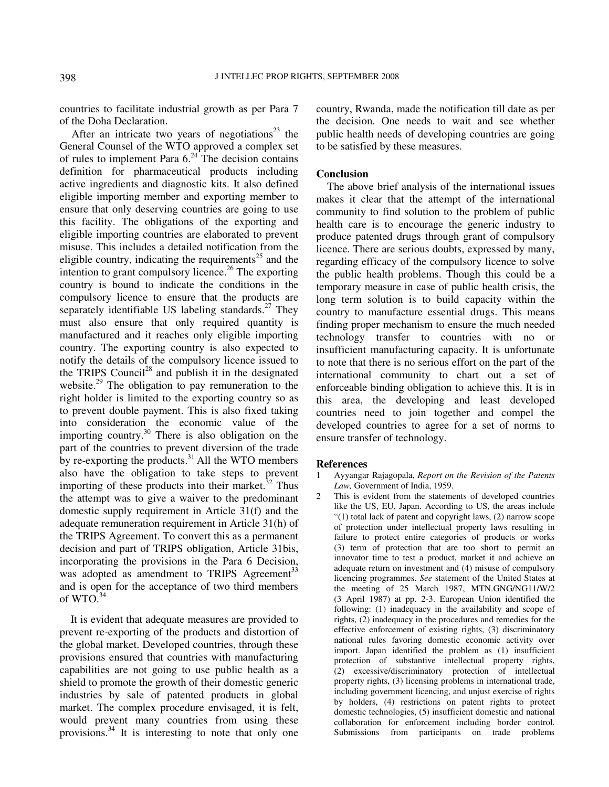countries to facilitate industrial growth as per Para 7 of the Doha Declaration.

After an intricate two years of negotiations<sup>23</sup> the General Counsel of the WTO approved a complex set of rules to implement Para  $6.^{24}$ . The decision contains definition for pharmaceutical products including active ingredients and diagnostic kits. It also defined eligible importing member and exporting member to ensure that only deserving countries are going to use this facility. The obligations of the exporting and eligible importing countries are elaborated to prevent misuse. This includes a detailed notification from the eligible country, indicating the requirements<sup>25</sup> and the intention to grant compulsory licence.<sup>26</sup> The exporting country is bound to indicate the conditions in the compulsory licence to ensure that the products are separately identifiable US labeling standards. $27$  They must also ensure that only required quantity is manufactured and it reaches only eligible importing country. The exporting country is also expected to notify the details of the compulsory licence issued to the TRIPS Council<sup>28</sup> and publish it in the designated website.<sup>29</sup> The obligation to pay remuneration to the right holder is limited to the exporting country so as to prevent double payment. This is also fixed taking into consideration the economic value of the importing country.<sup>30</sup> There is also obligation on the part of the countries to prevent diversion of the trade by re-exporting the products. $31$  All the WTO members also have the obligation to take steps to prevent importing of these products into their market. $32$  Thus the attempt was to give a waiver to the predominant domestic supply requirement in Article 31(f) and the adequate remuneration requirement in Article 31(h) of the TRIPS Agreement. To convert this as a permanent decision and part of TRIPS obligation, Article 31bis, incorporating the provisions in the Para 6 Decision, was adopted as amendment to TRIPS Agreement<sup>33</sup> and is open for the acceptance of two third members of  $WTO.<sup>34</sup>$ 

 It is evident that adequate measures are provided to prevent re-exporting of the products and distortion of the global market. Developed countries, through these provisions ensured that countries with manufacturing capabilities are not going to use public health as a shield to promote the growth of their domestic generic industries by sale of patented products in global market. The complex procedure envisaged, it is felt, would prevent many countries from using these provisions.<sup>34</sup> It is interesting to note that only one

country, Rwanda, made the notification till date as per the decision. One needs to wait and see whether public health needs of developing countries are going to be satisfied by these measures.

## **Conclusion**

 The above brief analysis of the international issues makes it clear that the attempt of the international community to find solution to the problem of public health care is to encourage the generic industry to produce patented drugs through grant of compulsory licence. There are serious doubts, expressed by many, regarding efficacy of the compulsory licence to solve the public health problems. Though this could be a temporary measure in case of public health crisis, the long term solution is to build capacity within the country to manufacture essential drugs. This means finding proper mechanism to ensure the much needed technology transfer to countries with no or insufficient manufacturing capacity. It is unfortunate to note that there is no serious effort on the part of the international community to chart out a set of enforceable binding obligation to achieve this. It is in this area, the developing and least developed countries need to join together and compel the developed countries to agree for a set of norms to ensure transfer of technology.

## **References**

- 1 Ayyangar Rajagopala, *Report on the Revision of the Patents Law,* Government of India, 1959.
- This is evident from the statements of developed countries like the US, EU, Japan. According to US, the areas include "(1) total lack of patent and copyright laws, (2) narrow scope of protection under intellectual property laws resulting in failure to protect entire categories of products or works (3) term of protection that are too short to permit an innovator time to test a product, market it and achieve an adequate return on investment and (4) misuse of compulsory licencing programmes. *See* statement of the United States at the meeting of 25 March 1987, MTN.GNG/NG11/W/2 (3 April 1987) at pp. 2-3. European Union identified the following: (1) inadequacy in the availability and scope of rights, (2) inadequacy in the procedures and remedies for the effective enforcement of existing rights, (3) discriminatory national rules favoring domestic economic activity over import. Japan identified the problem as (1) insufficient protection of substantive intellectual property rights, (2) excessive/discriminatory protection of intellectual property rights, (3) licensing problems in international trade, including government licencing, and unjust exercise of rights by holders, (4) restrictions on patent rights to protect domestic technologies, (5) insufficient domestic and national collaboration for enforcement including border control. Submissions from participants on trade problems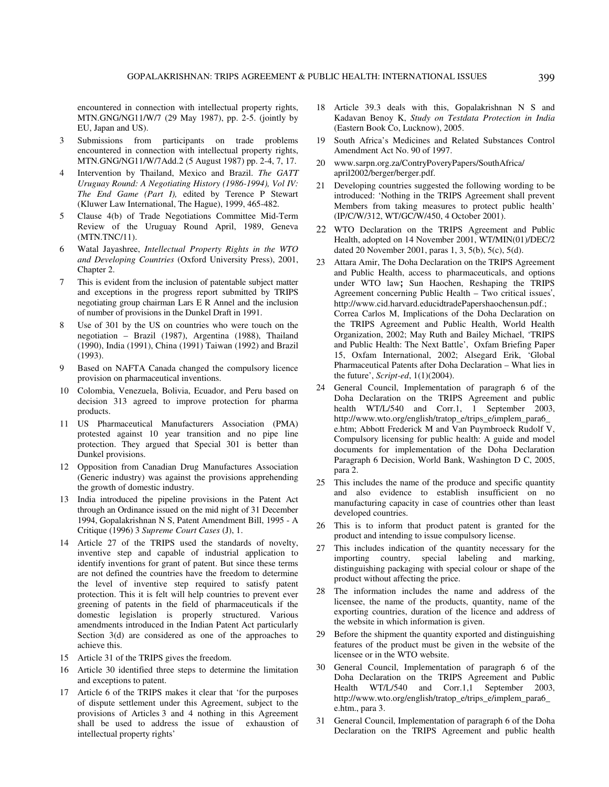encountered in connection with intellectual property rights, MTN.GNG/NG11/W/7 (29 May 1987), pp. 2-5. (jointly by EU, Japan and US).

- 3 Submissions from participants on trade problems encountered in connection with intellectual property rights, MTN.GNG/NG11/W/7Add.2 (5 August 1987) pp. 2-4, 7, 17.
- 4 Intervention by Thailand, Mexico and Brazil. *The GATT Uruguay Round: A Negotiating History (1986-1994), Vol IV: The End Game (Part I),* edited by Terence P Stewart (Kluwer Law International, The Hague), 1999, 465-482.
- 5 Clause 4(b) of Trade Negotiations Committee Mid-Term Review of the Uruguay Round April, 1989, Geneva (MTN.TNC/11).
- 6 Watal Jayashree, *Intellectual Property Rights in the WTO and Developing Countries* (Oxford University Press), 2001, Chapter 2.
- 7 This is evident from the inclusion of patentable subject matter and exceptions in the progress report submitted by TRIPS negotiating group chairman Lars E R Annel and the inclusion of number of provisions in the Dunkel Draft in 1991.
- 8 Use of 301 by the US on countries who were touch on the negotiation – Brazil (1987), Argentina (1988), Thailand (1990), India (1991), China (1991) Taiwan (1992) and Brazil (1993).
- 9 Based on NAFTA Canada changed the compulsory licence provision on pharmaceutical inventions.
- 10 Colombia, Venezuela, Bolivia, Ecuador, and Peru based on decision 313 agreed to improve protection for pharma products.
- 11 US Pharmaceutical Manufacturers Association (PMA) protested against 10 year transition and no pipe line protection. They argued that Special 301 is better than Dunkel provisions.
- 12 Opposition from Canadian Drug Manufactures Association (Generic industry) was against the provisions apprehending the growth of domestic industry.
- 13 India introduced the pipeline provisions in the Patent Act through an Ordinance issued on the mid night of 31 December 1994, Gopalakrishnan N S, Patent Amendment Bill, 1995 - A Critique (1996) 3 *Supreme Court Cases* (J), 1.
- 14 Article 27 of the TRIPS used the standards of novelty, inventive step and capable of industrial application to identify inventions for grant of patent. But since these terms are not defined the countries have the freedom to determine the level of inventive step required to satisfy patent protection. This it is felt will help countries to prevent ever greening of patents in the field of pharmaceuticals if the domestic legislation is properly structured. Various amendments introduced in the Indian Patent Act particularly Section 3(d) are considered as one of the approaches to achieve this.
- 15 Article 31 of the TRIPS gives the freedom.
- 16 Article 30 identified three steps to determine the limitation and exceptions to patent.
- 17 Article 6 of the TRIPS makes it clear that 'for the purposes of dispute settlement under this Agreement, subject to the provisions of Articles 3 and 4 nothing in this Agreement shall be used to address the issue of exhaustion of intellectual property rights'
- 18 Article 39.3 deals with this, Gopalakrishnan N S and Kadavan Benoy K, *Study on Testdata Protection in India*  (Eastern Book Co, Lucknow), 2005.
- 19 South Africa's Medicines and Related Substances Control Amendment Act No. 90 of 1997.
- 20 www.sarpn.org.za/ContryPoveryPapers/SouthAfrica/ april2002/berger/berger.pdf.
- 21 Developing countries suggested the following wording to be introduced: 'Nothing in the TRIPS Agreement shall prevent Members from taking measures to protect public health' (IP/C/W/312, WT/GC/W/450, 4 October 2001).
- 22 WTO Declaration on the TRIPS Agreement and Public Health, adopted on 14 November 2001, WT/MIN(01)/DEC/2 dated 20 November 2001, paras 1, 3, 5(b), 5(c), 5(d).
- 23 Attara Amir, The Doha Declaration on the TRIPS Agreement and Public Health, access to pharmaceuticals, and options under WTO law**;** Sun Haochen, Reshaping the TRIPS Agreement concerning Public Health – Two critical issues', http://www.cid.harvard.educidtradePapershaochensun.pdf.; Correa Carlos M, Implications of the Doha Declaration on the TRIPS Agreement and Public Health, World Health Organization, 2002; May Ruth and Bailey Michael, 'TRIPS and Public Health: The Next Battle', Oxfam Briefing Paper 15, Oxfam International, 2002; Alsegard Erik, 'Global Pharmaceutical Patents after Doha Declaration – What lies in the future', *Script-ed*, 1(1)(2004).
- 24 General Council, Implementation of paragraph 6 of the Doha Declaration on the TRIPS Agreement and public health WT/L/540 and Corr.1, 1 September 2003, http://www.wto.org/english/tratop\_e/trips\_e/implem\_para6\_ e.htm; Abbott Frederick M and Van Puymbroeck Rudolf V, Compulsory licensing for public health: A guide and model documents for implementation of the Doha Declaration Paragraph 6 Decision, World Bank, Washington D C, 2005, para 2.
- 25 This includes the name of the produce and specific quantity and also evidence to establish insufficient on no manufacturing capacity in case of countries other than least developed countries.
- 26 This is to inform that product patent is granted for the product and intending to issue compulsory license.
- 27 This includes indication of the quantity necessary for the importing country, special labeling and marking, distinguishing packaging with special colour or shape of the product without affecting the price.
- 28 The information includes the name and address of the licensee, the name of the products, quantity, name of the exporting countries, duration of the licence and address of the website in which information is given.
- 29 Before the shipment the quantity exported and distinguishing features of the product must be given in the website of the licensee or in the WTO website.
- 30 General Council, Implementation of paragraph 6 of the Doha Declaration on the TRIPS Agreement and Public Health WT/L/540 and Corr.1,1 September 2003, http://www.wto.org/english/tratop\_e/trips\_e/implem\_para6\_ e.htm., para 3.
- 31 General Council, Implementation of paragraph 6 of the Doha Declaration on the TRIPS Agreement and public health